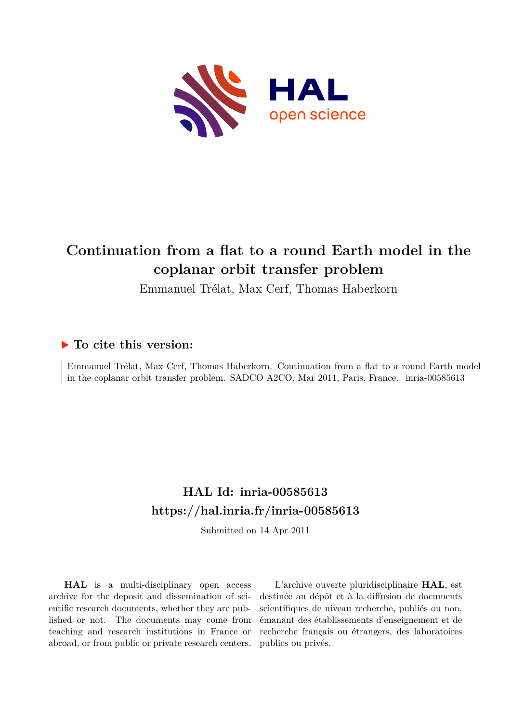

# **Continuation from a flat to a round Earth model in the coplanar orbit transfer problem**

Emmanuel Trélat, Max Cerf, Thomas Haberkorn

# **To cite this version:**

Emmanuel Trélat, Max Cerf, Thomas Haberkorn. Continuation from a flat to a round Earth model in the coplanar orbit transfer problem. SADCO A2CO, Mar 2011, Paris, France. inria-00585613

# **HAL Id: inria-00585613 <https://hal.inria.fr/inria-00585613>**

Submitted on 14 Apr 2011

**HAL** is a multi-disciplinary open access archive for the deposit and dissemination of scientific research documents, whether they are published or not. The documents may come from teaching and research institutions in France or abroad, or from public or private research centers.

L'archive ouverte pluridisciplinaire **HAL**, est destinée au dépôt et à la diffusion de documents scientifiques de niveau recherche, publiés ou non, émanant des établissements d'enseignement et de recherche français ou étrangers, des laboratoires publics ou privés.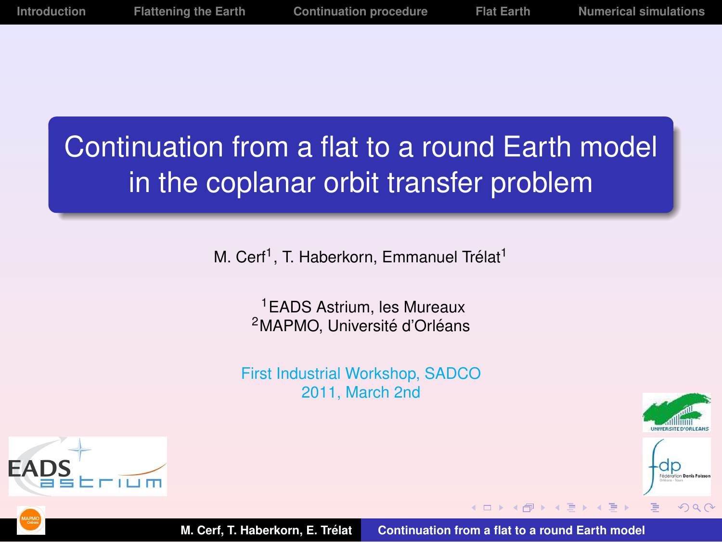# Continuation from a flat to a round Earth model in the coplanar orbit transfer problem

M. Cerf<sup>1</sup>, T. Haberkorn, Emmanuel Trélat<sup>1</sup>

<sup>1</sup>EADS Astrium, les Mureaux <sup>2</sup>MAPMO, Université d'Orléans

First Industrial Workshop, SADCO 2011, March 2nd

<span id="page-1-0"></span>



**EAI** 

**M. Cerf, T. Haberkorn, E. Trelat ´ [Continuation from a flat to a round Earth model](#page-27-0)**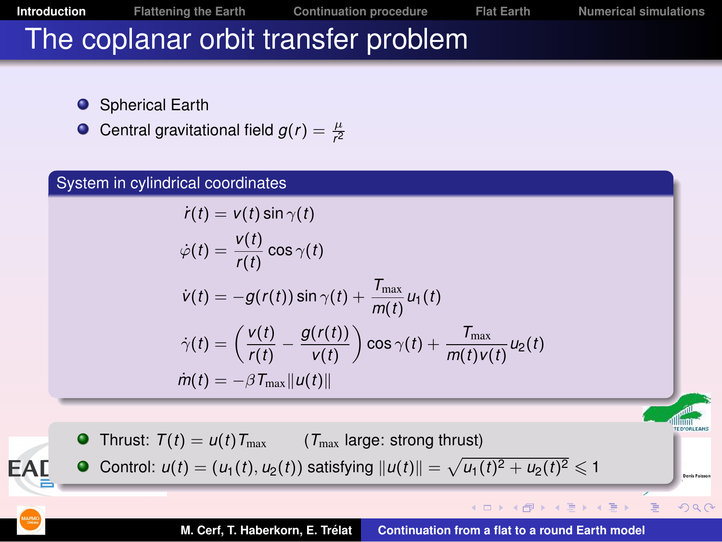**[Introduction](#page-2-0) [Flattening the Earth](#page-12-0) [Continuation procedure](#page-17-0) [Flat Earth](#page-21-0) [Numerical simulations](#page-24-0)**

**Deale** Roles

<span id="page-2-0"></span> $2Q$ 

E

# The coplanar orbit transfer problem

- **O** Spherical Earth
- Central gravitational field  $g(r) = \frac{\mu}{r^2}$

#### System in cylindrical coordinates

$$
\dot{r}(t) = v(t) \sin \gamma(t)
$$

$$
\dot{\varphi}(t) = \frac{v(t)}{r(t)} \cos \gamma(t)
$$
  
\n
$$
\dot{v}(t) = -g(r(t)) \sin \gamma(t) + \frac{T_{\text{max}}}{m(t)} u_1(t)
$$
  
\n
$$
\dot{\gamma}(t) = \left(\frac{v(t)}{r(t)} - \frac{g(r(t))}{v(t)}\right) \cos \gamma(t) + \frac{T_{\text{max}}}{m(t)v(t)} u_2(t)
$$
  
\n
$$
\dot{m}(t) = -\beta T_{\text{max}} ||u(t)||
$$

**O** Thrust:  $T(t) = u(t)T_{\text{max}}$  ( $T_{\text{max}}$  large: strong thrust) **EAL** Control:  $u(t) = (u_1(t), u_2(t))$  satisfying  $||u(t)|| = \sqrt{u_1(t)^2 + u_2(t)^2} \leqslant 1$ 4 ロ ト イ何 ト イ ヨ ト イ ヨ ト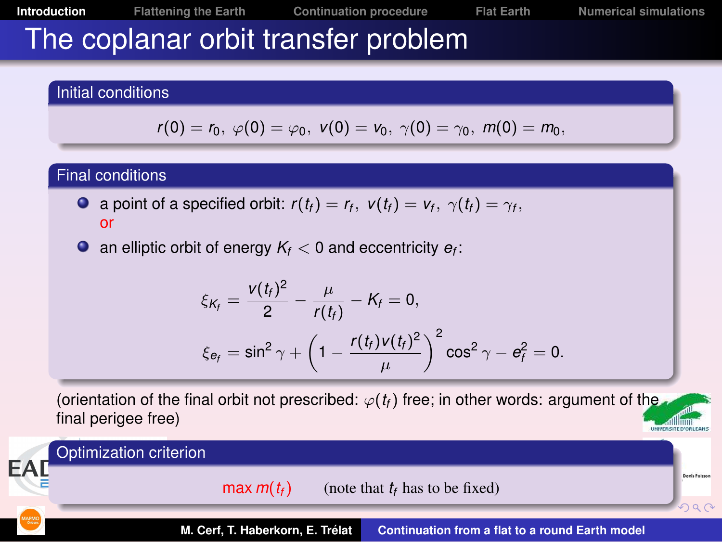# The coplanar orbit transfer problem

#### Initial conditions

$$
r(0)=r_0, \; \varphi(0)=\varphi_0, \; v(0)=v_0, \; \gamma(0)=\gamma_0, \; m(0)=m_0,
$$

#### Final conditions

- a point of a specified orbit:  $r(t_f) = r_f$ ,  $v(t_f) = v_f$ ,  $\gamma(t_f) = \gamma_f$ , or
- an elliptic orbit of energy  $K_f < 0$  and eccentricity  $e_f$ :

$$
\xi_{K_f} = \frac{v(t_f)^2}{2} - \frac{\mu}{r(t_f)} - K_f = 0,
$$
  

$$
\xi_{e_f} = \sin^2 \gamma + \left(1 - \frac{r(t_f)v(t_f)^2}{\mu}\right)^2 \cos^2 \gamma - e_f^2 = 0.
$$

(orientation of the final orbit not prescribed:  $\varphi(t_f)$  free; in other words: argument of the final perigee free)

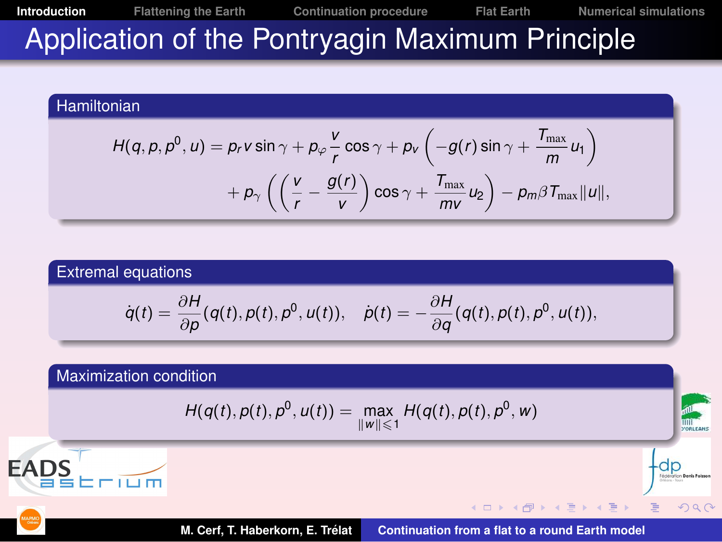**[Introduction](#page-2-0) [Flattening the Earth](#page-12-0) [Continuation procedure](#page-17-0) [Flat Earth](#page-21-0) [Numerical simulations](#page-24-0)** Application of the Pontryagin Maximum Principle

#### Hamiltonian

$$
H(q, p, p^{0}, u) = p_{r} v \sin \gamma + p_{\varphi} \frac{v}{r} \cos \gamma + p_{v} \left( -g(r) \sin \gamma + \frac{T_{\max}}{m} u_{1} \right) + p_{\gamma} \left( \left( \frac{v}{r} - \frac{g(r)}{v} \right) \cos \gamma + \frac{T_{\max}}{mv} u_{2} \right) - p_{m} \beta T_{\max} ||u||,
$$

#### Extremal equations

$$
\dot{q}(t)=\frac{\partial H}{\partial p}(q(t),p(t),p^{0},u(t)), \quad \dot{p}(t)=-\frac{\partial H}{\partial q}(q(t),p(t),p^{0},u(t)),
$$

#### Maximization condition

$$
H(q(t), p(t), p^{0}, u(t)) = \max_{\|w\| \leq 1} H(q(t), p(t), p^{0}, w)
$$



一

 $2Q$ 

-dp

**K ロ ⊁ K 御 ≯ K 唐 ⊁ K 唐**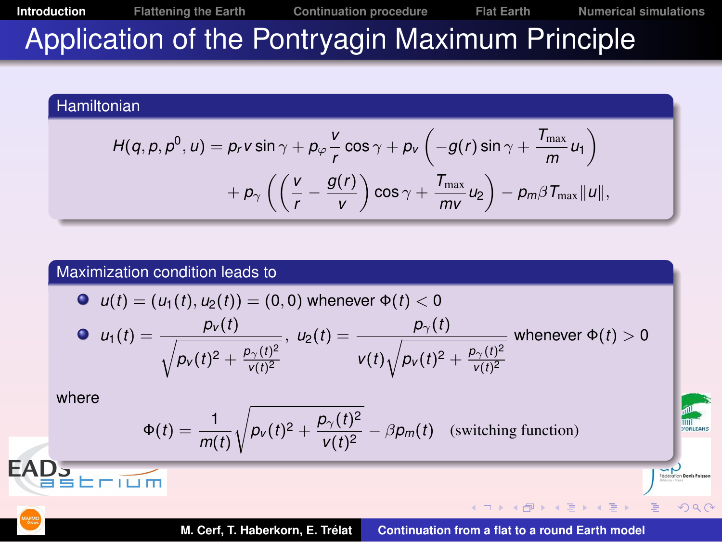**[Introduction](#page-2-0) [Flattening the Earth](#page-12-0) [Continuation procedure](#page-17-0) [Flat Earth](#page-21-0) [Numerical simulations](#page-24-0)** Application of the Pontryagin Maximum Principle

#### Hamiltonian

$$
H(q, p, p^{0}, u) = p_{r} v \sin \gamma + p_{\varphi} \frac{v}{r} \cos \gamma + p_{v} \left( -g(r) \sin \gamma + \frac{T_{\max}}{m} u_{1} \right) + p_{\gamma} \left( \left( \frac{v}{r} - \frac{g(r)}{v} \right) \cos \gamma + \frac{T_{\max}}{m v} u_{2} \right) - p_{m} \beta T_{\max} ||u||,
$$

#### Maximization condition leads to

\n- $$
u(t) = (u_1(t), u_2(t)) = (0, 0)
$$
 whenever  $\Phi(t) < 0$
\n- $$
u_1(t) = \frac{p_V(t)}{\sqrt{p_V(t)^2 + \frac{p_V(t)^2}{V(t)^2}}}, \quad u_2(t) = \frac{p_V(t)}{V(t)\sqrt{p_V(t)^2 + \frac{p_V(t)^2}{V(t)^2}}}
$$
 whenever  $\Phi(t) > 0$
\n

where

 $E = \overline{I \cup m}$ 

**EAD<sub>J</sub>** 

$$
\Phi(t) = \frac{1}{m(t)} \sqrt{p_v(t)^2 + \frac{p_v(t)^2}{v(t)^2}} - \beta p_m(t)
$$
 (switching function)

Fédération Denis Poiss

 $2Q$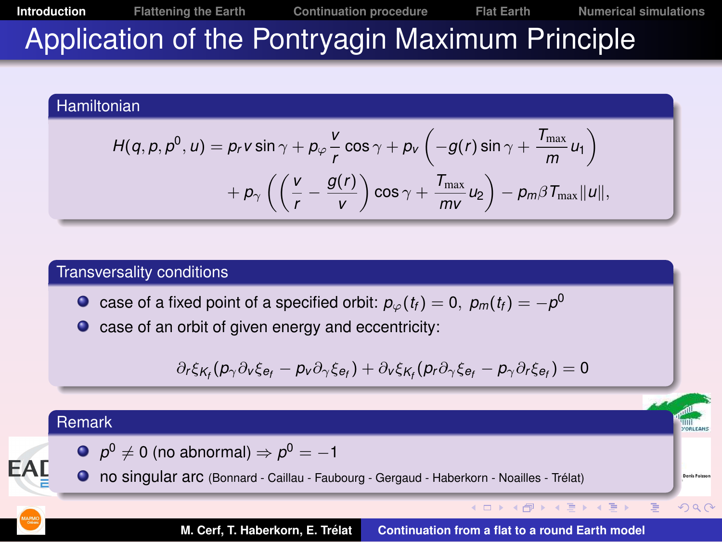**[Introduction](#page-2-0) [Flattening the Earth](#page-12-0) [Continuation procedure](#page-17-0) [Flat Earth](#page-21-0) [Numerical simulations](#page-24-0)** Application of the Pontryagin Maximum Principle

#### Hamiltonian

$$
H(q, p, p^{0}, u) = p_{r} v \sin \gamma + p_{\varphi} \frac{v}{r} \cos \gamma + p_{v} \left( -g(r) \sin \gamma + \frac{T_{\max}}{m} u_{1} \right) + p_{\gamma} \left( \left( \frac{v}{r} - \frac{g(r)}{v} \right) \cos \gamma + \frac{T_{\max}}{m v} u_{2} \right) - p_{m} \beta T_{\max} ||u||,
$$

#### Transversality conditions

case of a fixed point of a specified orbit:  $\rho_{\varphi}(t_{\mathit{f}})=0,~\rho_{m}(t_{\mathit{f}})=-\rho^{0}$ 

 $\bullet$  case of an orbit of given energy and eccentricity:

$$
\partial_r \xi_{K_f}(p_\gamma \partial_v \xi_{e_f} - p_v \partial_\gamma \xi_{e_f}) + \partial_v \xi_{K_f}(p_r \partial_\gamma \xi_{e_f} - p_\gamma \partial_r \xi_{e_f}) = 0
$$

| Remark                                                                                     | $p^0 \neq 0$ (no abnormal) | $p^0 = -1$ |
|--------------------------------------------------------------------------------------------|----------------------------|------------|
| ① no singular arc (Bonnard - Caillau - Faubourg - Gergaud - Haberkorn - Noailles - Trelat) | 2.22                       |            |

**M. Cerf, T. Haberkorn, E. Trelat ´ [Continuation from a flat to a round Earth model](#page-1-0)**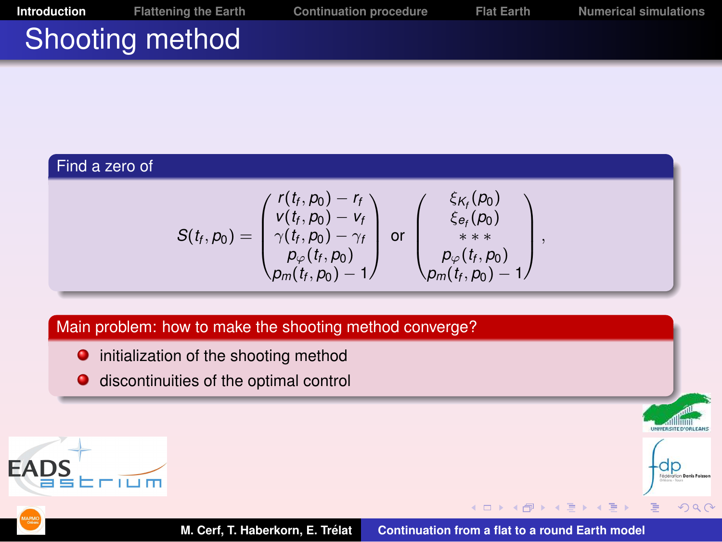**[Introduction](#page-2-0) [Flattening the Earth](#page-12-0) [Continuation procedure](#page-17-0) [Flat Earth](#page-21-0) [Numerical simulations](#page-24-0)** Shooting method

#### Find a zero of

$$
S(t_f, p_0) = \begin{pmatrix} r(t_f, p_0) - r_f \\ v(t_f, p_0) - v_f \\ \gamma(t_f, p_0) - \gamma_f \\ p_{\varphi}(t_f, p_0) \\ p_m(t_f, p_0) - 1 \end{pmatrix} \text{ or } \begin{pmatrix} \xi_{K_f}(p_0) \\ \xi_{e_f}(p_0) \\ * \xi_{e_f}(p_0) \\ * \xi_{e_f}(p_0) \\ p_{\varphi}(t_f, p_0) - 1 \end{pmatrix}
$$

,

 $2Q$ 

 $\mathbf{A}$ E

#### Main problem: how to make the shooting method converge?

- $\bullet$  initialization of the shooting method
- **O** discontinuities of the optimal control





4 口下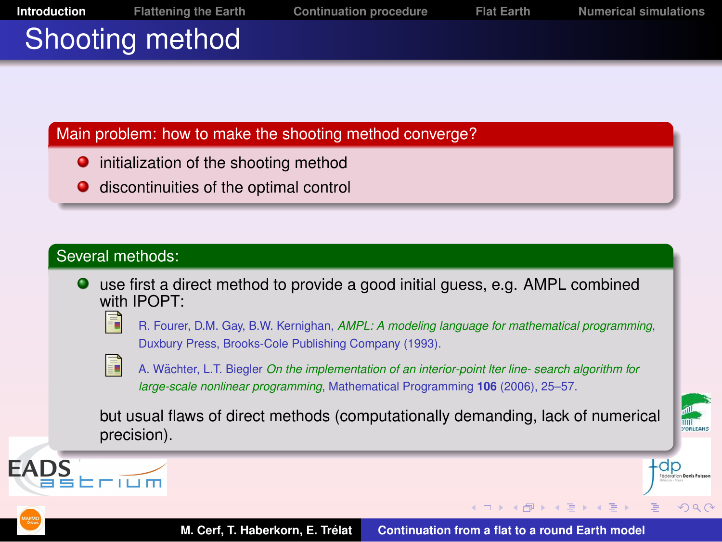

- **•** initialization of the shooting method
- discontinuities of the optimal control

#### Several methods:

use first a direct method to provide a good initial guess, e.g. AMPL combined with IPOPT:



R. Fourer, D.M. Gay, B.W. Kernighan, *AMPL: A modeling language for mathematical programming*, Duxbury Press, Brooks-Cole Publishing Company (1993).



A. Wächter, L.T. Biegler *On the implementation of an interior-point lter line- search algorithm for large-scale nonlinear programming*, Mathematical Programming **106** (2006), 25–57.

but usual flaws of direct methods (computationally demanding, lack of numerical precision).



 $299$ 



EADS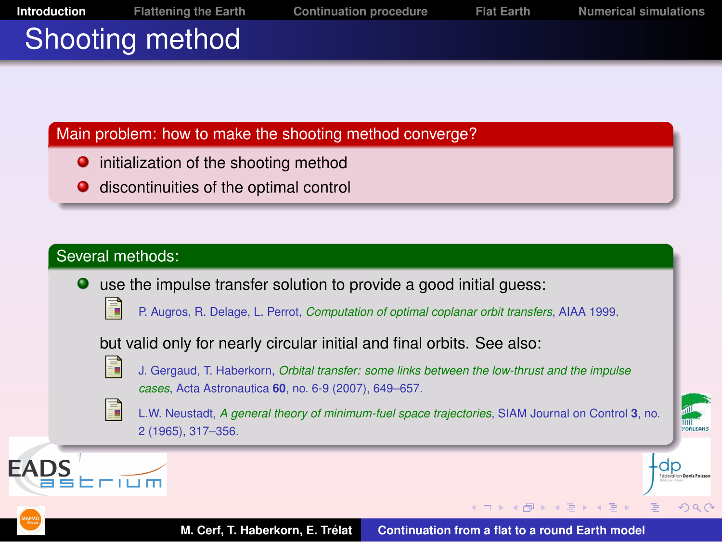

- initialization of the shooting method .
- discontinuities of the optimal control

#### Several methods:

- use the impulse transfer solution to provide a good initial guess:
	-
- P. Augros, R. Delage, L. Perrot, *Computation of optimal coplanar orbit transfers*, AIAA 1999.

but valid only for nearly circular initial and final orbits. See also:



- J. Gergaud, T. Haberkorn, *Orbital transfer: some links between the low-thrust and the impulse cases*, Acta Astronautica **60**, no. 6-9 (2007), 649–657.
- F
- L.W. Neustadt, *A general theory of minimum-fuel space trajectories*, SIAM Journal on Control **3**, no. 2 (1965), 317–356.



 $299$ 



**EAD**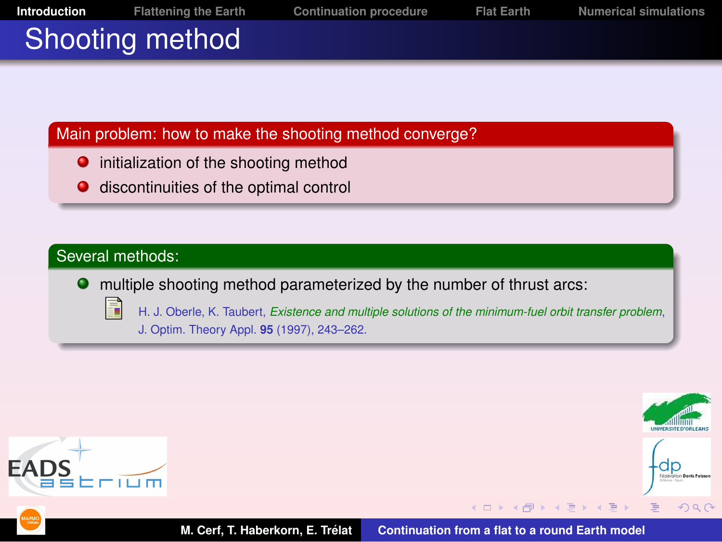

- . initialization of the shooting method
- discontinuities of the optimal control  $\bullet$

#### Several methods:

multiple shooting method parameterized by the number of thrust arcs:

- 
- H. J. Oberle, K. Taubert, *Existence and multiple solutions of the minimum-fuel orbit transfer problem*, J. Optim. Theory Appl. **95** (1997), 243–262.



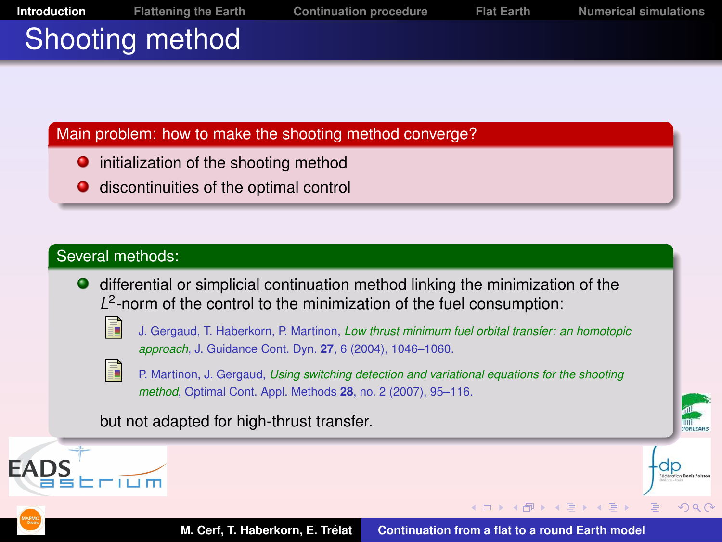- . initialization of the shooting method
- discontinuities of the optimal control

#### Several methods:

differential or simplicial continuation method linking the minimization of the L<sup>2</sup>-norm of the control to the minimization of the fuel consumption:



J. Gergaud, T. Haberkorn, P. Martinon, *Low thrust minimum fuel orbital transfer: an homotopic approach*, J. Guidance Cont. Dyn. **27**, 6 (2004), 1046–1060.



P. Martinon, J. Gergaud, *Using switching detection and variational equations for the shooting method*, Optimal Cont. Appl. Methods **28**, no. 2 (2007), 95–116.

but not adapted for high-thrust transfer.





 $\mathcal{A} \ni \mathcal{B} \rightarrow \mathcal{A} \ni \mathcal{B}$ 

 $290$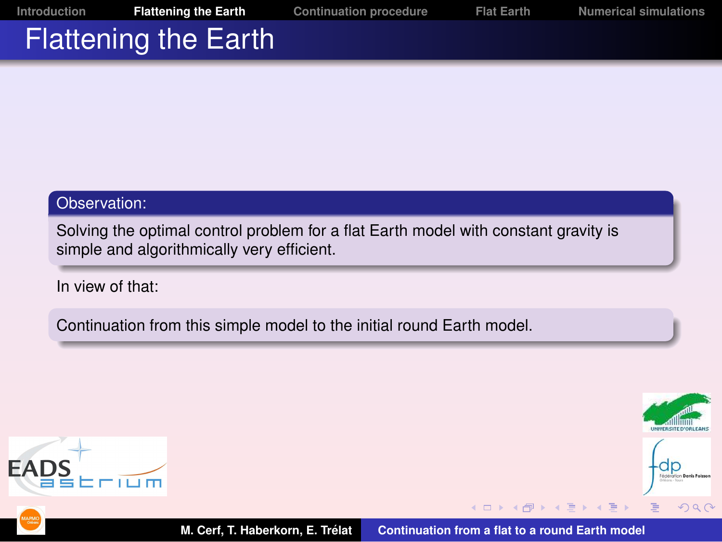# Flattening the Earth

#### Observation:

Solving the optimal control problem for a flat Earth model with constant gravity is simple and algorithmically very efficient.

In view of that:

Continuation from this simple model to the initial round Earth model.



<span id="page-12-0"></span>

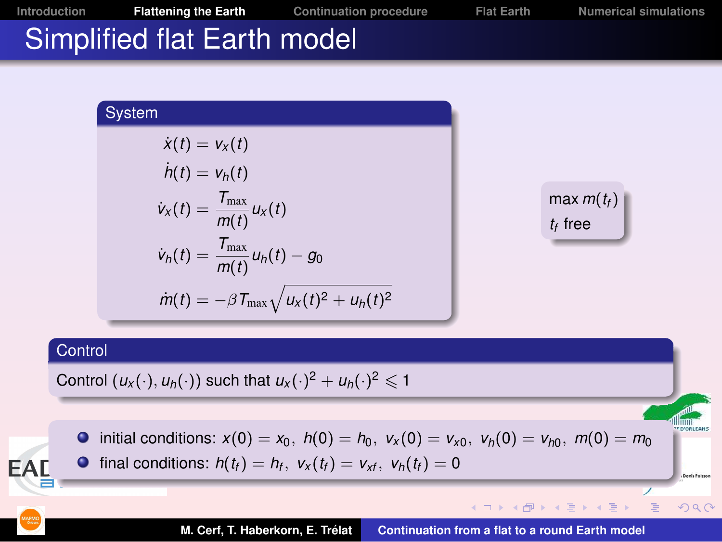

$$
\dot{v}_x(t) = \frac{T_{\text{max}}}{m(t)} u_x(t)
$$
  

$$
\dot{v}_h(t) = \frac{T_{\text{max}}}{m(t)} u_h(t) - g_0
$$
  

$$
\dot{m}(t) = -\beta T_{\text{max}} \sqrt{u_x(t)^2 + u_h(t)}
$$

 $max m(t_f)$ *tf* free

**K ロ ⊁ K 倒 ≯ K ミ ⊁ K ミ ⊁** 

 $2Q$ 

E

#### **Control**

**EAL** 

Control  $(u_x(\cdot), u_h(\cdot))$  such that  $u_x(\cdot)^2 + u_h(\cdot)^2 \leq 1$ 



 $\sqrt{2}$ 

final conditions:  $h(t_f) = h_f$ ,  $v_x(t_f) = v_{xf}$ ,  $v_h(t_f) = 0$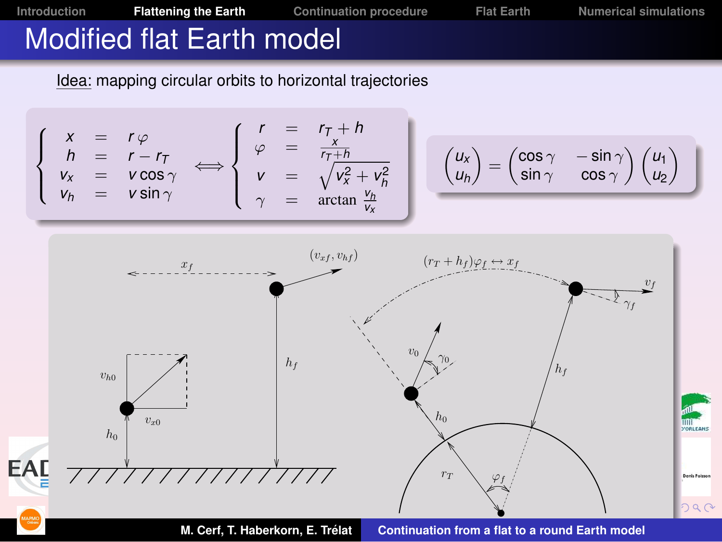

**M. Cerf, T. Haberkorn, E. Trelat ´ [Continuation from a flat to a round Earth model](#page-1-0)**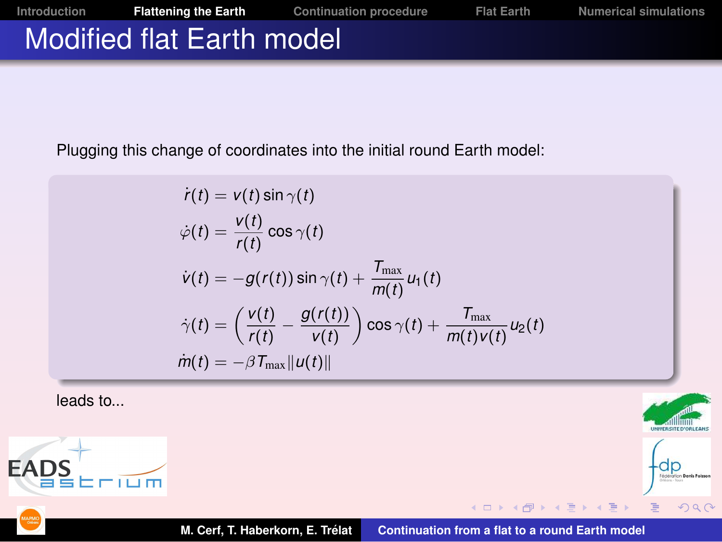

Plugging this change of coordinates into the initial round Earth model:

$$
\dot{r}(t) = v(t) \sin \gamma(t)
$$
\n
$$
\dot{\varphi}(t) = \frac{v(t)}{r(t)} \cos \gamma(t)
$$
\n
$$
\dot{v}(t) = -g(r(t)) \sin \gamma(t) + \frac{T_{\text{max}}}{m(t)} u_1(t)
$$
\n
$$
\dot{\gamma}(t) = \left(\frac{v(t)}{r(t)} - \frac{g(r(t))}{v(t)}\right) \cos \gamma(t) + \frac{T_{\text{max}}}{m(t)v(t)} u_2(t)
$$
\n
$$
\dot{m}(t) = -\beta T_{\text{max}} ||u(t)||
$$

leads to...



 $2Q$ 

**M. Cerf, T. Haberkorn, E. Trelat ´ [Continuation from a flat to a round Earth model](#page-1-0)**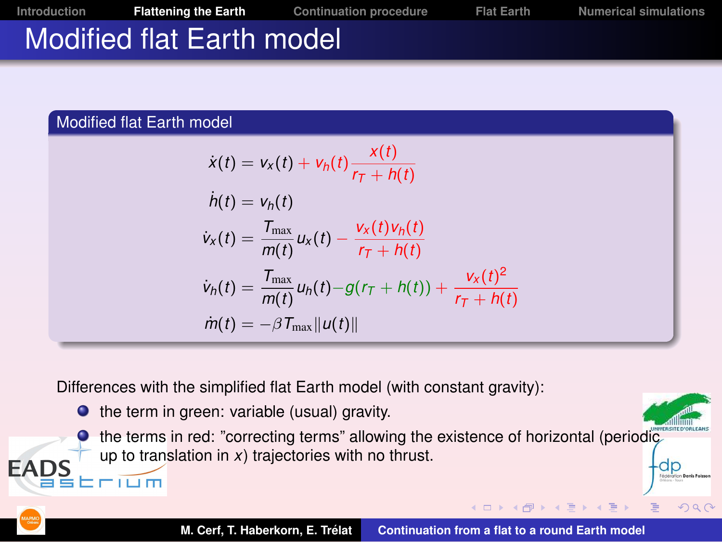

#### Modified flat Earth model

חם ב

**EAI** 

$$
\dot{x}(t) = v_x(t) + v_h(t) \frac{x(t)}{r_T + h(t)}
$$
\n
$$
\dot{h}(t) = v_h(t)
$$
\n
$$
\dot{v}_x(t) = \frac{T_{\text{max}}}{m(t)} u_x(t) - \frac{v_x(t)v_h(t)}{r_T + h(t)}
$$
\n
$$
\dot{v}_h(t) = \frac{T_{\text{max}}}{m(t)} u_h(t) - g(r_T + h(t)) + \frac{v_x(t)^2}{r_T + h(t)}
$$
\n
$$
\dot{m}(t) = -\beta T_{\text{max}} ||u(t)||
$$

Differences with the simplified flat Earth model (with constant gravity):

 $\bullet$  the term in green: variable (usual) gravity.

**O** the terms in red: "correcting terms" allowing the existence of horizontal (periodic up to translation in *x*) trajectories with no thrust.

 $290$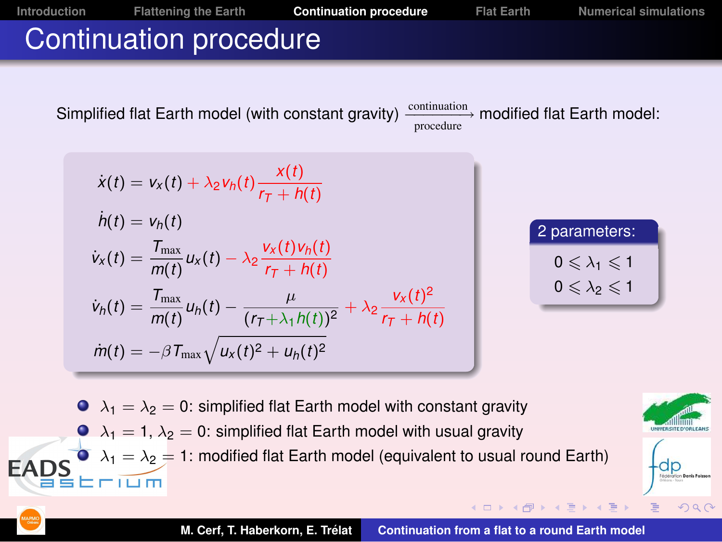

<span id="page-17-0"></span> $2Q$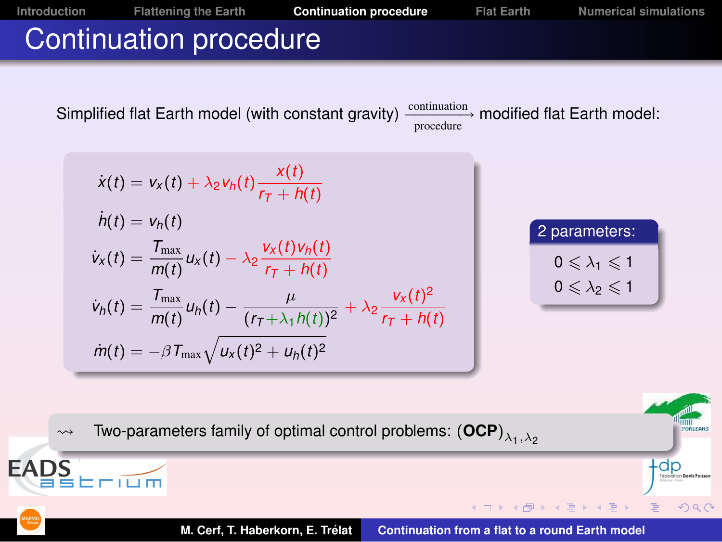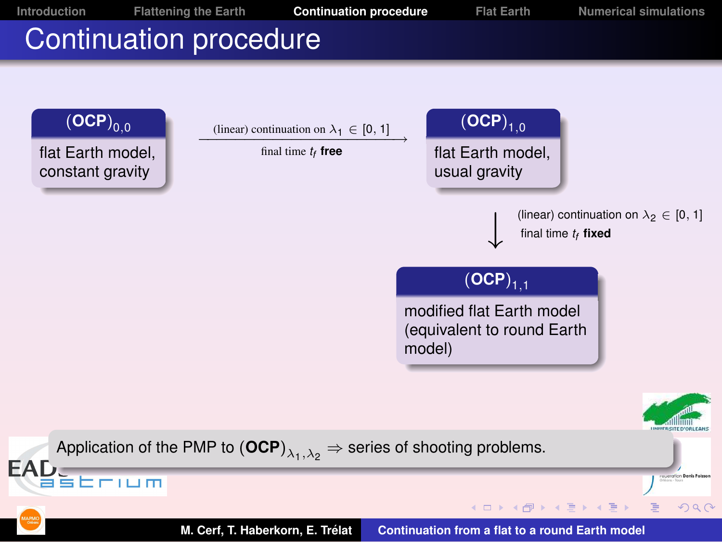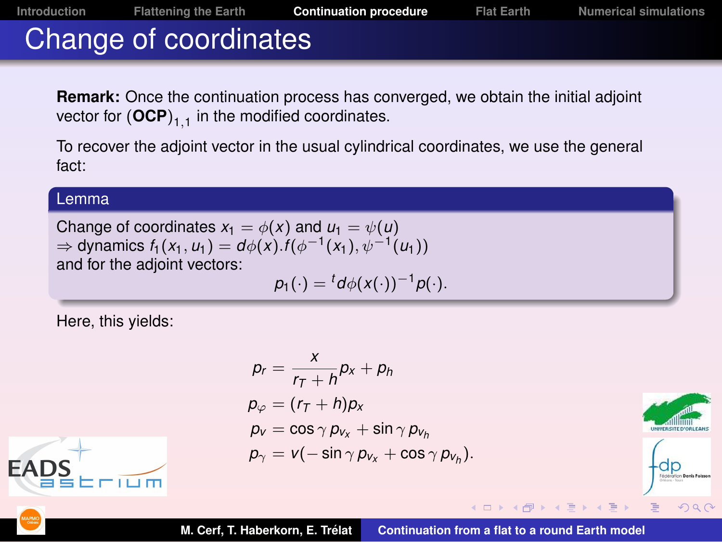### Change of coordinates

**Remark:** Once the continuation process has converged, we obtain the initial adjoint vector for  $(\mathsf{OCP})_{1,1}$  in the modified coordinates.

To recover the adjoint vector in the usual cylindrical coordinates, we use the general fact:

#### Lemma

Change of coordinates  $x_1 = \phi(x)$  and  $u_1 = \psi(u)$ ⇒ dynamics  $f_1(x_1, u_1) = d\phi(x) . f(\phi^{-1}(x_1), \psi^{-1}(u_1))$ and for the adjoint vectors:

$$
p_1(\cdot)= {}^td\phi(x(\cdot))^{-1}p(\cdot).
$$

Here, this yields:

$$
p_r = \frac{x}{r_T + h} p_x + p_h
$$
  
\n
$$
p_{\varphi} = (r_T + h)p_x
$$
  
\n
$$
p_v = \cos \gamma p_{v_x} + \sin \gamma p_{v_h}
$$
  
\n
$$
p_{\gamma} = v(-\sin \gamma p_{v_x} + \cos \gamma p_{v_h}).
$$



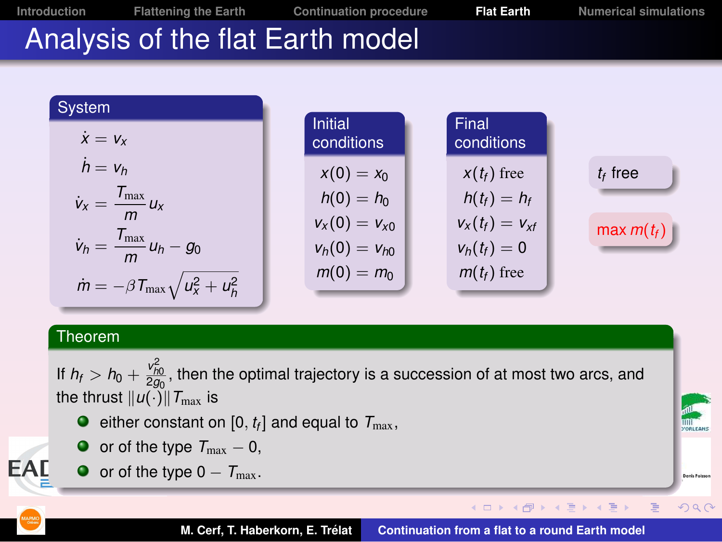**[Introduction](#page-2-0) [Flattening the Earth](#page-12-0) [Continuation procedure](#page-17-0) [Flat Earth](#page-21-0) [Numerical simulations](#page-24-0)**

**Deale** Roles

<span id="page-21-0"></span> $2Q$ 

 $\equiv$ 

## Analysis of the flat Earth model

| System                                                 |                              |                     |              |
|--------------------------------------------------------|------------------------------|---------------------|--------------|
| $\dot{x} = v_x$                                        | <b>Initial</b><br>conditions | Final<br>conditions |              |
| $h = v_h$                                              | $x(0) = x_0$                 | $x(t_f)$ free       | $t_f$ free   |
| $\dot{v}_x = \frac{T_{\text{max}}}{m} u_x$             | $h(0) = h_0$                 | $h(t_f) = h_f$      |              |
|                                                        | $v_x(0) = v_{x0}$            | $v_x(t_f) = v_{xf}$ | max $m(t_f)$ |
| $\dot{v}_h = \frac{T_{\text{max}}}{m} u_h - g_0$       | $v_h(0) = v_{h0}$            | $v_h(t_f) = 0$      |              |
| $\dot{m} = -\beta T_{\text{max}} \sqrt{u_x^2 + u_h^2}$ | $m(0) = m_0$                 | $m(t_f)$ free       |              |
|                                                        |                              |                     |              |

#### Theorem

If  $h_{\it f} > h_0 + \frac{v_{h0}^2}{2g_0}$ , then the optimal trajectory is a succession of at most two arcs, and the thrust  $||u(\cdot)||T_{\text{max}}$  is

- either constant on [0,  $t_f$ ] and equal to  $\mathcal{T}_{\max}$ ,
- $\bullet$  or of the type  $T_{\text{max}} 0$ ,
- $\bullet$  or of the type  $0 T_{\text{max}}$ .



**EAL** 

**M. Cerf, T. Haberkorn, E. Trelat ´ [Continuation from a flat to a round Earth model](#page-1-0)**

**K ロ ⊁ K 倒 ≯ K ミ ⊁ K ミ ⊁**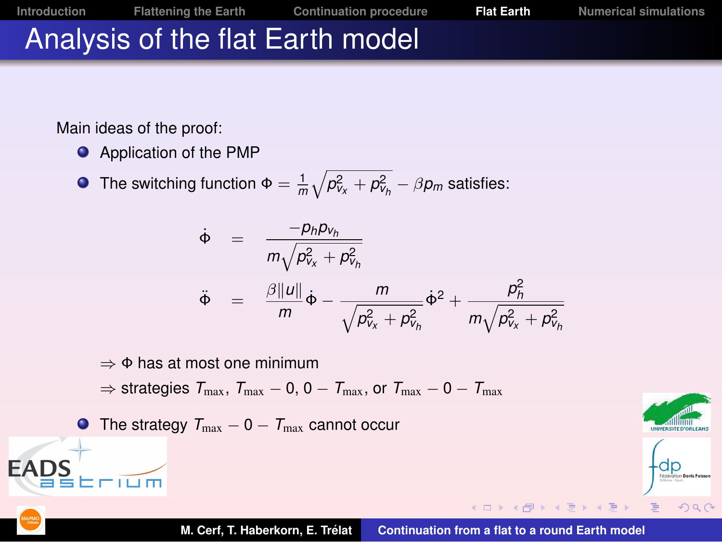# Analysis of the flat Earth model

Main ideas of the proof:

**•** Application of the PMP

The switching function  $\Phi = \frac{1}{m}\sqrt{\rho_{V_X}^2 + \rho_{V_h}^2 - \beta \rho_m}$  satisfies:

$$
\dot{\Phi} = \frac{-p_h p_{v_h}}{m \sqrt{p_{v_x}^2 + p_{v_h}^2}}
$$
\n
$$
\ddot{\Phi} = \frac{\beta ||u||}{m} \dot{\Phi} - \frac{m}{\sqrt{p_{v_x}^2 + p_{v_h}^2}} \dot{\Phi}^2 + \frac{p_h^2}{m \sqrt{p_{v_x}^2 + p_{v_h}^2}}
$$

 $\Rightarrow$  Φ has at most one minimum

 $\Rightarrow$  strategies  $T_{\text{max}}$ ,  $T_{\text{max}} - 0$ ,  $0 - T_{\text{max}}$ , or  $T_{\text{max}} - 0 - T_{\text{max}}$ 

 $\bullet$  The strategy  $T_{\text{max}} - 0 - T_{\text{max}}$  cannot occur





**EAD**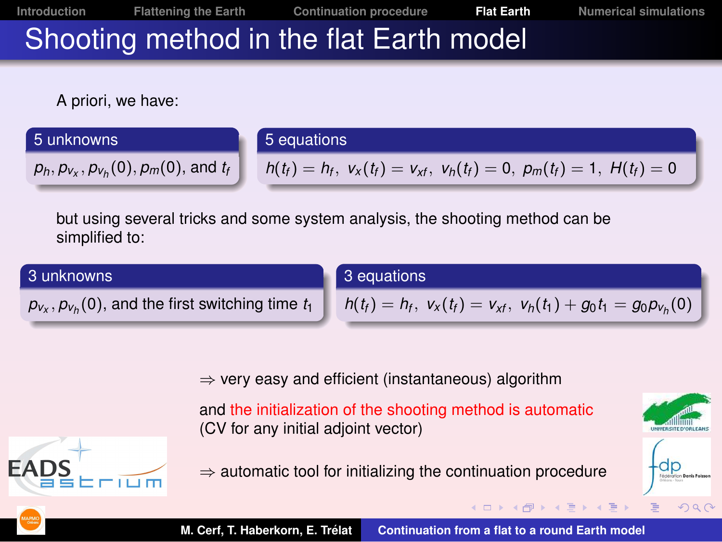**[Introduction](#page-2-0) [Flattening the Earth](#page-12-0) [Continuation procedure](#page-17-0) [Flat Earth](#page-21-0) [Numerical simulations](#page-24-0)**

# Shooting method in the flat Earth model

A priori, we have:

#### 5 unknowns

#### 5 equations

 $p_h, p_{v_x}, p_{v_h}(0), p_m(0)$ , and  $t_h$ 

 $p_{v_x}, p_{v_h}(0)$ , and the first switching time  $t_1$ 

$$
h(t_f) = h_f, v_x(t_f) = v_{xf}, v_h(t_f) = 0, p_m(t_f) = 1, H(t_f) = 0
$$

but using several tricks and some system analysis, the shooting method can be simplified to:

#### 3 unknowns

3 equations

*h*(*t*<sub>f</sub>) = *h*<sub>f</sub>, *v*<sub>*x*</sub>(*t*<sub>f</sub>) = *v*<sub>*xf*</sub>, *v*<sub>*h*</sub>(*t*<sub>1</sub>) + *g*<sub>0</sub>*t*<sub>1</sub> = *g*<sub>0</sub>*p*<sub>*v*<sub>*h*</sub>(0)</sub>

**K ロ ⊁ K 倒 ≯ K 差 ⊁ K 差** 

 $\Rightarrow$  very easy and efficient (instantaneous) algorithm

and the initialization of the shooting method is automatic (CV for any initial adjoint vector)

 $\Rightarrow$  automatic tool for initializing the continuation procedure



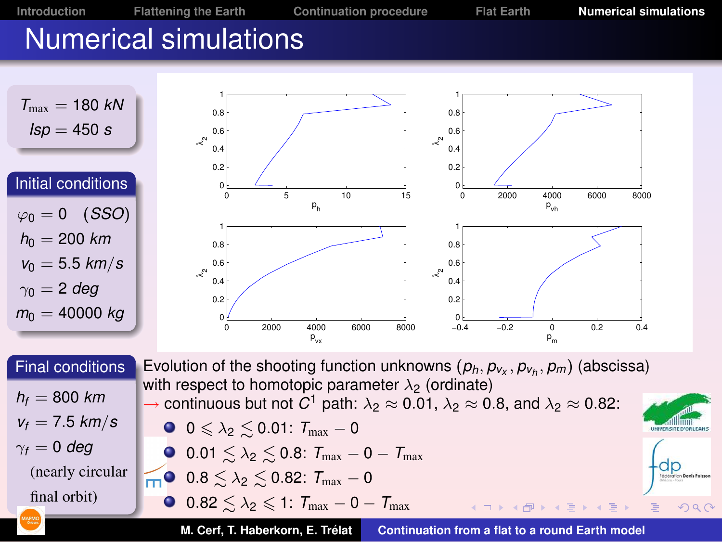<span id="page-24-0"></span>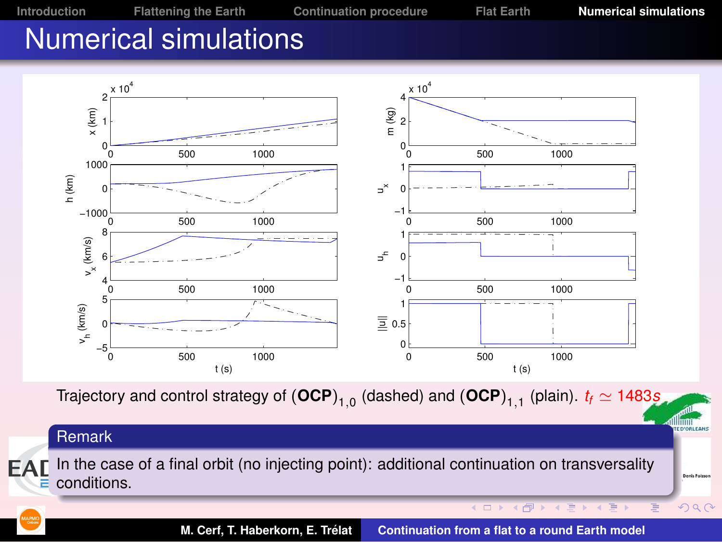**[Introduction](#page-2-0) [Flattening the Earth](#page-12-0) [Continuation procedure](#page-17-0) [Flat Earth](#page-21-0) [Numerical simulations](#page-24-0)**

### Numerical simulations

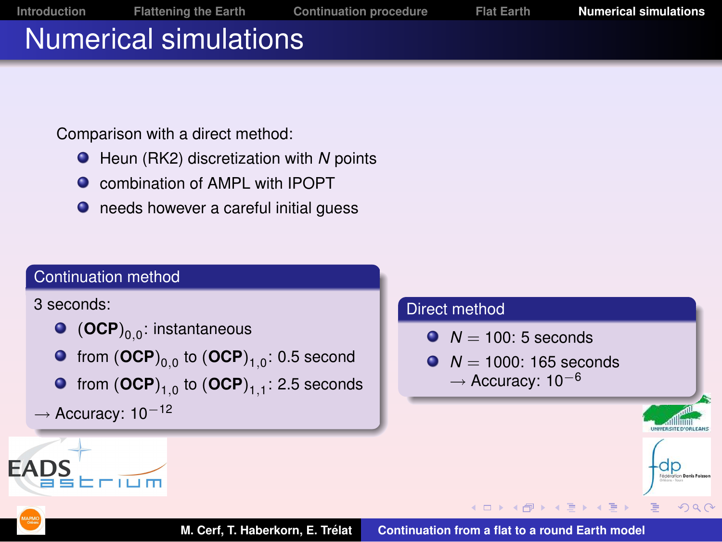

Comparison with a direct method:

- Heun (RK2) discretization with *N* points
- **O** combination of AMPL with IPOPT
- **O** needs however a careful initial guess

#### Continuation method

3 seconds:



- from  ${(\mathsf{OCP})}_{0,0}$  to  ${(\mathsf{OCP})}_{1,0}$ : 0.5 second
- from  ${(\mathsf{OCP})}_\mathsf{1,0}$  to  ${(\mathsf{OCP})}_\mathsf{1,1}$ : 2.5 seconds

```
→ Accuracy: 10−12
```
#### Direct method

- $N = 100:5$  seconds
- $N = 1000 \cdot 165$  seconds  $\rightarrow$  Accuracy: 10<sup>-6</sup>

 $2Q$